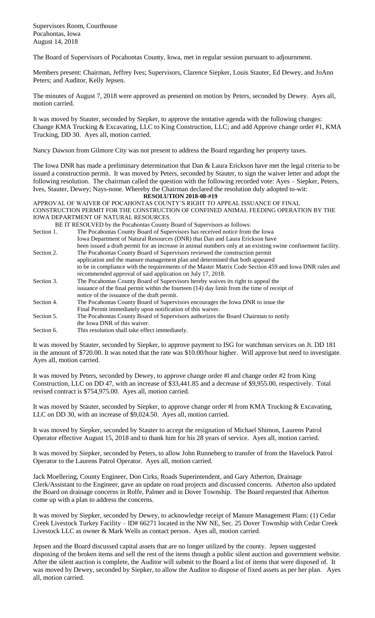Supervisors Room, Courthouse Pocahontas, Iowa August 14, 2018

The Board of Supervisors of Pocahontas County, Iowa, met in regular session pursuant to adjournment.

Members present: Chairman, Jeffrey Ives; Supervisors, Clarence Siepker, Louis Stauter, Ed Dewey, and JoAnn Peters; and Auditor, Kelly Jepsen.

The minutes of August 7, 2018 were approved as presented on motion by Peters, seconded by Dewey. Ayes all, motion carried.

It was moved by Stauter, seconded by Siepker, to approve the tentative agenda with the following changes: Change KMA Trucking & Excavating, LLC to King Construction, LLC; and add Approve change order #1, KMA Trucking, DD 30. Ayes all, motion carried.

Nancy Dawson from Gilmore City was not present to address the Board regarding her property taxes.

The Iowa DNR has made a preliminary determination that Dan & Laura Erickson have met the legal criteria to be issued a construction permit. It was moved by Peters, seconded by Stauter, to sign the waiver letter and adopt the following resolution. The chairman called the question with the following recorded vote: Ayes – Siepker, Peters, Ives, Stauter, Dewey; Nays-none. Whereby the Chairman declared the resolution duly adopted to-wit:

**RESOLUTION 2018-08-#19**

APPROVAL OF WAIVER OF POCAHONTAS COUNTY'S RIGHT TO APPEAL ISSUANCE OF FINAL CONSTRUCTION PERMIT FOR THE CONSTRUCTION OF CONFINED ANIMAL FEEDING OPERATION BY THE IOWA DEPARTMENT OF NATURAL RESOURCES.

|            | BE IT RESOLVED by the Pocahontas County Board of Supervisors as follows:                                     |
|------------|--------------------------------------------------------------------------------------------------------------|
| Section 1. | The Pocahontas County Board of Supervisors has received notice from the Iowa                                 |
|            | Iowa Department of Natural Resources (DNR) that Dan and Laura Erickson have                                  |
|            | been issued a draft permit for an increase in animal numbers only at an existing swine confinement facility. |
| Section 2. | The Pocahontas County Board of Supervisors reviewed the construction permit                                  |
|            | application and the manure management plan and determined that both appeared                                 |
|            | to be in compliance with the requirements of the Master Matrix Code Section 459 and Iowa DNR rules and       |
|            | recommended approval of said application on July 17, 2018.                                                   |
| Section 3. | The Pocahontas County Board of Supervisors hereby waives its right to appeal the                             |
|            | issuance of the final permit within the fourteen (14) day limit from the time of receipt of                  |
|            | notice of the issuance of the draft permit.                                                                  |
| Section 4. | The Pocahontas County Board of Supervisors encourages the Iowa DNR to issue the                              |
|            | Final Permit immediately upon notification of this waiver.                                                   |
| Section 5. | The Pocahontas County Board of Supervisors authorizes the Board Chairman to notify                           |
|            | the Iowa DNR of this waiver.                                                                                 |
| Section 6. | This resolution shall take effect immediately.                                                               |

It was moved by Stauter, seconded by Siepker, to approve payment to ISG for watchman services on Jt. DD 181 in the amount of \$720.00. It was noted that the rate was \$10.00/hour higher. Will approve but need to investigate. Ayes all, motion carried.

It was moved by Peters, seconded by Dewey, to approve change order #l and change order #2 from King Construction, LLC on DD 47, with an increase of \$33,441.85 and a decrease of \$9,955.00, respectively. Total revised contract is \$754,975.00. Ayes all, motion carried.

It was moved by Stauter, seconded by Siepker, to approve change order #l from KMA Trucking & Excavating, LLC on DD 30, with an increase of \$9,024.50. Ayes all, motion carried.

It was moved by Siepker, seconded by Stauter to accept the resignation of Michael Shimon, Laurens Patrol Operator effective August 15, 2018 and to thank him for his 28 years of service. Ayes all, motion carried.

It was moved by Siepker, seconded by Peters, to allow John Runneberg to transfer of from the Havelock Patrol Operator to the Laurens Patrol Operator. Ayes all, motion carried.

Jack Moellering, County Engineer, Don Cirks, Roads Superintendent, and Gary Atherton, Drainage Clerk/Assistant to the Engineer, gave an update on road projects and discussed concerns. Atherton also updated the Board on drainage concerns in Rolfe, Palmer and in Dover Township. The Board requested that Atherton come up with a plan to address the concerns.

It was moved by Siepker, seconded by Dewey, to acknowledge receipt of Manure Management Plans: (1) Cedar Creek Livestock Turkey Facility – ID# 66271 located in the NW NE, Sec. 25 Dover Township with Cedar Creek Livestock LLC as owner & Mark Wells as contact person. Ayes all, motion carried.

Jepsen and the Board discussed capital assets that are no longer utilized by the county. Jepsen suggested disposing of the broken items and sell the rest of the items though a public silent auction and government website. After the silent auction is complete, the Auditor will submit to the Board a list of items that were disposed of. It was moved by Dewey, seconded by Siepker, to allow the Auditor to dispose of fixed assets as per her plan. Ayes all, motion carried.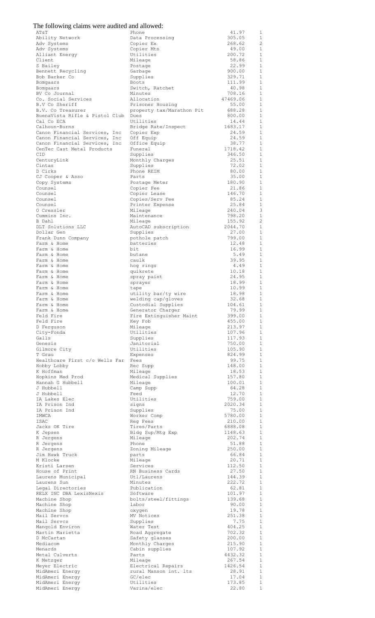|  |  |  | The following claims were audited and allowed: |  |
|--|--|--|------------------------------------------------|--|
|  |  |  |                                                |  |

| AT&T                                         | Phone                                     | 41.97             | 1                                |
|----------------------------------------------|-------------------------------------------|-------------------|----------------------------------|
| Ability Network<br>Adv Systems               | Data Processing<br>Copier Ex              | 305.05<br>268.62  | -1<br>$\overline{c}$             |
| Adv Systems                                  | Copier Mtn                                | 49.00             | 1                                |
| Alliant Energy                               | Utilities                                 | 200.72            | $\mathbf{1}$                     |
| Client                                       | Mileage                                   | 58.86             | $\mathbf{1}$                     |
| S Bailey                                     | Postage                                   | 22.99             | $\mathbf{1}$                     |
| Bennett Recycling                            | Garbage                                   | 900.00            | 1                                |
| Bob Barker Co<br>Bomgaars                    | Supplies<br><b>Boots</b>                  | 329.71<br>111.99  | $\mathbf{1}$<br>$\mathbf{1}$     |
| Bomgaars                                     | Switch, Ratchet                           | 40.98             | $\mathbf{1}$                     |
| BV Co Journal                                | Minutes                                   | 708.16            | $\mathbf{1}$                     |
| Co. Social Services                          | Allocation                                | 47469.06          | $\mathbf{1}$                     |
| B.V Co Sheriff                               | Prisoner Housing                          | 55.00             | 1                                |
| B.V. Co Treasurer                            | property tax/Marathon Pit                 | 688.28            | 1                                |
| BuenaVista Rifle & Pistol Club<br>Cal Co ECA | Dues<br>Utilities                         | 800.00<br>14.44   | 1<br>1                           |
| Calhoun-Burns                                | Bridge Rate/Inspect                       | 1683.17           | 1                                |
| Canon Financial Services, Inc                | Copier Exp                                | 24.59             | 1                                |
| Canon Financial Services, Inc                | Off Equip                                 | 24.59             | 1                                |
| Canon Financial Services, Inc                | Office Equip                              | 38.77             | <sup>1</sup>                     |
| CenTec Cast Metal Products<br>CID            | Funeral<br>Supplies                       | 1718.42<br>346.50 | $\mathbf{1}$<br>-1               |
| CenturyLink                                  | Monthly Charges                           | 25.51             | 1                                |
| Cintas                                       | Supplies                                  | 72.02             | <sup>1</sup>                     |
| D Cirks                                      | Phone REIM                                | 80.00             | 1                                |
| CJ Cooper & Asso                             | Parts                                     | 35.00             | $\mathbf{1}$                     |
| Copy Systems                                 | Postage Meter                             | 180.90            | $\mathbf{1}$                     |
| Counsel<br>Counsel                           | Copier Fee<br>Copier Lease                | 21.86<br>146.70   | $\mathbf{1}$<br>$\mathbf{1}$     |
| Counsel                                      | Copies/Serv Fee                           | 85.24             | $\mathbf{1}$                     |
| Counsel                                      | Printer Expense                           | 25.84             | $\mathbf{1}$                     |
| O Cressler                                   | Mileage                                   | 240.04            | 3                                |
| Cummins Inc.                                 | Maintenance                               | 798.20            | $\mathbf{1}$                     |
| B Dahl<br>DLT Solutions LLC                  | Mileage                                   | 155.92<br>2044.70 | $\overline{2}$<br>1              |
| Dollar Gen                                   | AutoCAD subscription<br>Supplies          | 27.00             | $\mathbf{1}$                     |
| Frank Dunn Company                           | pothole patch                             | 799.00            | 1                                |
| Farm & Home                                  | batteries                                 | 12.48             | $\mathbf{1}$                     |
| Farm & Home                                  | bit                                       | 16.99             | 1                                |
| Farm & Home                                  | butane                                    | 5.49              | $\mathbf{1}$                     |
| Farm & Home<br>Farm & Home                   | caulk<br>hog rings                        | 39.95<br>4.49     | 1<br>$\mathbf{1}$                |
| Farm & Home                                  | quikrete                                  | 10.18             | 1                                |
| Farm & Home                                  | spray paint                               | 24.95             | <sup>1</sup>                     |
| Farm & Home                                  | sprayer                                   | 18.99             | -1                               |
| Farm & Home<br>Farm & Home                   | tape                                      | 10.99<br>18.98    | 1<br>$\mathbf{1}$                |
| Farm & Home                                  | utility bar/ty wire<br>welding cap/gloves | 32.68             | 1                                |
| Farm & Home                                  | Custodial Supplies                        | 104.61            | $\overline{1}$                   |
| Farm & Home                                  | Generator Charger                         | 79.99             | 1                                |
| Feld Fire                                    | Fire Extinguisher Maint                   | 399.00            | <sup>1</sup>                     |
| Feld Fire<br>D Ferquson                      | Key Fob<br>Mileage                        | 455.00<br>213.97  | $\mathbf{1}$<br>$\mathbf{1}$     |
| City-Fonda                                   | Utilities                                 | 107.96            | 1                                |
| Galls                                        | Supplies                                  | 117.93            | $\mathbf{1}$                     |
| Genesis                                      | Janitorial                                | 750.00            | 1                                |
| Gilmore City                                 | Utilities                                 | 105.90            | 1                                |
| T Grau<br>Healthcare First c/o Wells Far     | Expenses<br>Fees                          | 824.99<br>99.75   | 1<br>-1                          |
| Hobby Lobby                                  | Rec Supp                                  | 148.00            | 1                                |
| K Hoffman                                    | Mileage                                   | 18.53             | -1                               |
| Hopkins Med Prod                             | Medical Supplies                          | 157.80            | 1                                |
| Hannah G Hubbell                             | Mileage                                   | 100.01            | 1                                |
| J Hubbell<br>J Hubbell                       | Camp Supp<br>Feed                         | 64.28<br>12.70    | 1<br>$\overline{1}$              |
| IA Lakes Elec                                | Utilities                                 | 759.00            | 1                                |
| IA Prison Ind                                | signs                                     | 2020.34           | $\overline{1}$                   |
| IA Prison Ind                                | Supplies                                  | 75.00             | $\overline{1}$                   |
| IMWCA                                        | Worker Comp                               | 5780.00           | $\overline{1}$                   |
| ISAC<br>Jacks OK Tire                        | Reg Fees<br>Tires/Parts                   | 210.00<br>6888.08 | 1<br>$\overline{1}$              |
| K Jepsen                                     | Bldg Sup/Mtg Exp                          | 1148.63           | 1                                |
| R Jergens                                    | Mileage                                   | 202.74            | 1                                |
| R Jergens                                    | Phone                                     | 51.88             | $\mathbf{1}$                     |
| R Jergens<br>Jim Hawk Truck                  | Zoning Mileage                            | 250.00<br>66.84   | -1<br>$\mathbf{1}$               |
| M Klocke                                     | parts<br>Mileage                          | 20.71             | 1                                |
| Kristi Larsen                                | Services                                  | 112.50            | 1                                |
| House of Print                               | RN Business Cards                         | 27.50             | 1                                |
| Laurens Municipal                            | Utl/Laurens                               | 144.39            | $\mathbf{1}$                     |
| Laurens Sun<br>Legal Directories             | Minutes<br>Publication                    | 222.72<br>62.81   | $\mathbf{1}$<br>1                |
| RELX INC DBA LexisNexis                      | Software                                  | 101.97            | $\mathbf{1}$                     |
| Machine Shop                                 | bolts/steel/fittings                      | 139.68            | 1                                |
| Machine Shop                                 | labor                                     | 90.00             | $\mathbf{1}$                     |
| Machine Shop<br>Mail Servcs                  | oxygen                                    | 19.78<br>251.38   | 1<br>$\mathbf{1}$                |
| Mail Servcs                                  | MV Notices<br>Supplies                    | 7.75              | $\mathbf{1}$                     |
| Mangold Environ                              | Water Test                                | 404.25            | $\mathbf{1}$                     |
| Martin Marietta                              | Road Aggregate                            | 702.32            | 1                                |
| D McCartan                                   | Safety glasses                            | 200.00            | <sup>1</sup>                     |
| Mediacom<br>Menards                          | Monthly Charges                           | 215.90<br>107.92  | 1                                |
| Metal Culverts                               | Cabin supplies<br>Parts                   | 4432.32           | $\overline{1}$<br>$\overline{1}$ |
| K Metzger                                    | Mileage                                   | 267.54            | $\mathbf{1}$                     |
| Meyer Electric                               | Electrical Repairs                        | 1426.54           | $\overline{1}$                   |
| MidAmeri Energy                              | rural Manson int. Its                     | 28.91             | $\overline{1}$                   |
| MidAmeri Energy                              | GC/elec                                   | 17.04             | $\mathbf{1}$                     |
| MidAmeri Energy<br>MidAmeri Energy           | Utilities<br>Varina/elec                  | 173.85<br>22.80   | $\mathbf{1}$                     |
|                                              |                                           |                   |                                  |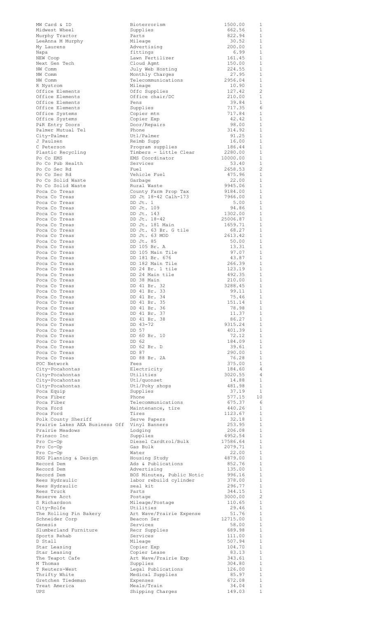| MW Card & ID                                                    | Bioterrorism                             | 1500.00            | 1                              |
|-----------------------------------------------------------------|------------------------------------------|--------------------|--------------------------------|
| Midwest Wheel<br>Murphy Tractor                                 | Supplies<br>Parts                        | 662.56<br>822.94   | 1<br>$\mathbf{1}$              |
| LeeAnna M Murphy                                                | Mileage                                  | 30.52              | $\mathbf{1}$                   |
| My Laurens                                                      | Advertising                              | 200.00             | $\mathbf{1}$                   |
| Napa                                                            | fittings<br>Lawn Fertilizer              | 6.99<br>161.45     | $\mathbf{1}$<br>1              |
| NEW Coop<br>Next Gen Tech                                       | Cloud Agmt                               | 150.00             | $\mathbf{1}$                   |
| NW Comm                                                         | July Web Hosting                         | 224.55             | $\mathbf{1}$                   |
| NW Comm<br>NW Comm                                              | Monthly Charges<br>Telecommunications    | 27.95<br>2956.04   | 1<br>1                         |
| R Nystrom                                                       | Mileage                                  | 10.90              | 1                              |
| Office Elements                                                 | Offc Supplies                            | 127.42             | 2                              |
| Office Elements<br>Office Elements                              | Office chair/DC<br>Pens                  | 210.00<br>39.84    | $\mathbf{1}$<br>1              |
| Office Elements                                                 | Supplies                                 | 717.35             | 6                              |
| Office Systems                                                  | Copier mtn                               | 717.84             | $\mathbf{1}$                   |
| Office Systems<br>P&R Entry Doors                               | Copier Exp<br>Door/Repairs               | 42.42<br>98.00     | 1<br>$\mathbf{1}$              |
| Palmer Mutual Tel                                               | Phone                                    | 314.92             | 1                              |
| City-Palmer                                                     | Utl/Palmer                               | 91.25              | $\mathbf{1}$                   |
| J Paulsen<br>C Peterson                                         | Reimb Supp<br>Program supplies           | 16.00<br>186.44    | 1<br>1                         |
| Plastic Recycling                                               | Timbers - Little Clear                   | 2280.00            | $\mathbf{1}$                   |
| Po Co EMS                                                       | EMS Coordinator                          | 10000.00           | 1                              |
| Po Co Pub Health<br>Po Co Sec Rd                                | Services<br>Fuel                         | 53.40<br>2658.53   | $\mathbf{1}$<br>$\overline{2}$ |
| Po Co Sec Rd                                                    | Vehicle Fuel                             | 475.96             | $\mathbf{1}$                   |
| Po Co Solid Waste                                               | Garbage                                  | 22.00              | $\mathbf{1}$                   |
| Po Co Solid Waste<br>Poca Co Treas                              | Rural Waste<br>County Farm Prop Tax      | 9945.06<br>9184.00 | $\mathbf{1}$<br>$\mathbf{1}$   |
| Poca Co Treas                                                   | DD Jt 18-42 Calh-173                     | 7966.00            | $\mathbf{1}$                   |
| Poca Co Treas                                                   | DD Jt. 1                                 | 5.00               | 1                              |
| Poca Co Treas<br>Poca Co Treas                                  | DD Jt. 109<br>DD Jt. 143                 | 94.86<br>1302.00   | $\mathbf{1}$<br>$\mathbf{1}$   |
| Poca Co Treas                                                   | DD Jt. 18-42                             | 25006.87           | $\mathbf{1}$                   |
| Poca Co Treas                                                   | DD Jt. 181 Main                          | 1659.71            | 1                              |
| Poca Co Treas<br>Poca Co Treas                                  | DD Jt. 63 Br. G tile<br>DD Jt. 63 MOD    | 68.27<br>2613.42   | $\mathbf{1}$<br>$\mathbf{1}$   |
| Poca Co Treas                                                   | DD Jt. 85                                | 50.00              | $\mathbf{1}$                   |
| Poca Co Treas                                                   | DD 105 Br. A                             | 13.31              | 1                              |
| Poca Co Treas<br>Poca Co Treas                                  | DD 105 Main Tile<br>DD 181 Br. 676       | 97.07<br>43.87     | $\mathbf{1}$<br>1              |
| Poca Co Treas                                                   | DD 182 Main Tile                         | 266.39             | $\mathbf{1}$                   |
| Poca Co Treas                                                   | DD 24 Br. 1 tile                         | 123.19             | $\mathbf{1}$                   |
| Poca Co Treas<br>Poca Co Treas                                  | DD 24 Main tile<br>DD 38 Main            | 492.35<br>210.00   | $\mathbf{1}$<br>$\mathbf{1}$   |
| Poca Co Treas                                                   | DD 41 Br. 32                             | 3288.45            | 1                              |
| Poca Co Treas                                                   | DD 41 Br. 33                             | 99.11              | 1                              |
| Poca Co Treas<br>Poca Co Treas                                  | DD 41 Br. 34<br>DD 41 Br. 35             | 75.46<br>151.14    | $\mathbf{1}$<br>1              |
| Poca Co Treas                                                   | DD 41 Br. 36                             | 78.98              | $\mathbf{1}$                   |
| Poca Co Treas                                                   | DD 41 Br. 37                             | 11.37              | 1                              |
| Poca Co Treas<br>Poca Co Treas                                  | DD 41 Br. 38<br>DD 43-72                 | 86.27<br>9315.24   | $\mathbf{1}$<br>1              |
| Poca Co Treas                                                   | DD 57                                    | 401.39             | $\mathbf{1}$                   |
| Poca Co Treas                                                   | DD 60 Br. 10                             | 72.12              | 1                              |
| Poca Co Treas<br>Poca Co Treas                                  | DD 62<br>DD 62 Br. D                     | 184.09<br>39.61    | $\mathbf{1}$<br>1              |
| Poca Co Treas                                                   | DD 87                                    | 290.00             | $\mathbf{1}$                   |
| Poca Co Treas                                                   | DD 88 Br. 2A<br>Fees                     | 76.28              | 1<br>$\mathbf{1}$              |
| POC Network<br>City-Pocahontas                                  | Electricity                              | 375.00<br>184.60   | 4                              |
| City-Pocahontas                                                 | Utilities                                | 3020.55            | 4                              |
| City-Pocahontas<br>City-Pocahontas                              | Utl/quonset                              | 14.88<br>481.98    | 1<br>1                         |
| Poca Equip                                                      | Utl/Poky shops<br>Supplies               | 37.19              | <sup>1</sup>                   |
| Poca Fiber                                                      | Phone                                    | 577.15             | 10                             |
| Poca Fiber<br>Poca Ford                                         | Telecommunications<br>Maintenance, tire  | 675.37<br>440.26   | 6<br>1                         |
| Poca Ford                                                       | Tires                                    | 1123.67            | $\mathbf{1}$                   |
| Polk County Sheriff                                             | Serve Papers                             | 32.18              | 1                              |
| Prairie Lakes AEA Business Off Vinyl Banners<br>Prairie Meadows | Lodging                                  | 253.95<br>206.08   | $\mathbf{1}$<br>$\mathbf{1}$   |
| Prinsco Inc                                                     | Supplies                                 | 4952.54            | $\mathbf{1}$                   |
| Pro Co-Op                                                       | Diesel Cardtrol/Bulk                     | 17586.64           | $\mathbf{1}$                   |
| Pro Co-Op<br>Pro Co-Op                                          | Gas Bulk<br>Water                        | 2079.71<br>22.00   | $\mathbf{1}$<br>$\mathbf{1}$   |
| RDG Planning & Design                                           | Housing Study                            | 4879.00            | $\mathbf{1}$                   |
| Record Dem                                                      | Ads & Publications                       | 852.76             | $\mathbf{1}$                   |
| Record Dem<br>Record Dem                                        | Advertising<br>BOS Minutes, Public Notic | 135.00<br>996.16   | $\mathbf{1}$<br>1              |
| Rees Hydraulic                                                  | labor rebuild cylinder                   | 378.00             | 1                              |
| Rees Hydraulic                                                  | seal kit                                 | 296.77             | $\mathbf{1}$                   |
| Rees Truck<br>Reserve Acct                                      | Parts<br>Postage                         | 344.15<br>3000.00  | $\mathbf{1}$<br>$\overline{c}$ |
| S Richardson                                                    | Mileage/Postage                          | 110.65             | $\mathbf{1}$                   |
| City-Rolfe                                                      | Utilities                                | 29.46<br>51.76     | $\mathbf{1}$<br>$\mathbf{1}$   |
| The Rolling Pin Bakery<br>Schneider Corp                        | Art Wave/Prairie Expense<br>Beacon Ser   | 12715.00           | $\mathbf{1}$                   |
| Genesis                                                         | Services                                 | 58.00              | $\mathbf{1}$                   |
| Slumberland Furniture<br>Sports Rehab                           | Recr Supplies<br>Services                | 689.98<br>111.00   | 1<br>1                         |
| D Stall                                                         | Mileage                                  | 507.94             | 1                              |
| Star Leasing                                                    | Copier Exp                               | 104.70             | 1                              |
| Star Leasing<br>The Teapot Cafe                                 | Copier Lease<br>Art Wave/Prairie Exp     | 83.13<br>343.61    | 1<br>1                         |
| M Thomas                                                        | Supplies                                 | 304.80             | $\mathbf{1}$                   |
| T Reuters-West                                                  | Legal Publications                       | 126.00             | $\mathbf{1}$                   |
| Thrifty White<br>Gretchen Tiedeman                              | Medical Supplies<br>Expenses             | 85.97<br>672.08    | $\mathbf{1}$<br>$\mathbf{1}$   |
| Treat America                                                   | Meals/Train                              | 34.04              | $\mathbf 1$                    |
| <b>UPS</b>                                                      | Shipping Charges                         | 149.03             | $\mathbf{1}$                   |